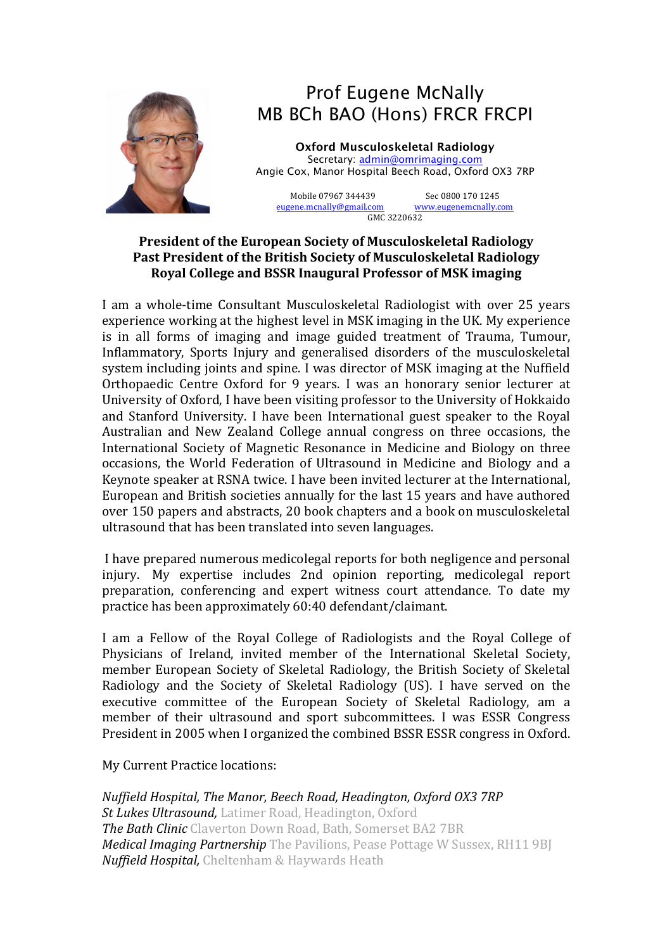

# Prof Eugene McNally MB BCh BAO (Hons) FRCR FRCPI

**Oxford Musculoskeletal Radiology** Secretary: admin@omrimaging.com Angie Cox, Manor Hospital Beech Road, Oxford OX3 7RP

Mobile 07967 344439 Sec 0800 170 1245 eugene.mcnally@gmail.com www.eugenemcnally.com GMC 3220632

#### **President of the European Society of Musculoskeletal Radiology** Past President of the British Society of Musculoskeletal Radiology **Royal College and BSSR Inaugural Professor of MSK imaging**

I am a whole-time Consultant Musculoskeletal Radiologist with over 25 years experience working at the highest level in MSK imaging in the UK. My experience is in all forms of imaging and image guided treatment of Trauma, Tumour, Inflammatory, Sports Injury and generalised disorders of the musculoskeletal system including joints and spine. I was director of MSK imaging at the Nuffield Orthopaedic Centre Oxford for 9 years. I was an honorary senior lecturer at University of Oxford, I have been visiting professor to the University of Hokkaido and Stanford University. I have been International guest speaker to the Royal Australian and New Zealand College annual congress on three occasions, the International Society of Magnetic Resonance in Medicine and Biology on three occasions, the World Federation of Ultrasound in Medicine and Biology and a Keynote speaker at RSNA twice. I have been invited lecturer at the International, European and British societies annually for the last 15 years and have authored over 150 papers and abstracts, 20 book chapters and a book on musculoskeletal ultrasound that has been translated into seven languages.

I have prepared numerous medicolegal reports for both negligence and personal injury. My expertise includes 2nd opinion reporting, medicolegal report preparation, conferencing and expert witness court attendance. To date my practice has been approximately 60:40 defendant/claimant.

I am a Fellow of the Royal College of Radiologists and the Royal College of Physicians of Ireland, invited member of the International Skeletal Society, member European Society of Skeletal Radiology, the British Society of Skeletal Radiology and the Society of Skeletal Radiology (US). I have served on the executive committee of the European Society of Skeletal Radiology, am a member of their ultrasound and sport subcommittees. I was ESSR Congress President in 2005 when I organized the combined BSSR ESSR congress in Oxford.

My Current Practice locations:

*Nuffield Hospital, The Manor, Beech Road, Headington, Oxford OX3 7RP St Lukes Ultrasound, Latimer Road, Headington, Oxford The Bath Clinic* Claverton Down Road, Bath, Somerset BA2 7BR *Medical Imaging Partnership* The Pavilions, Pease Pottage W Sussex, RH11 9BJ *Nuffield Hospital,* Cheltenham & Haywards Heath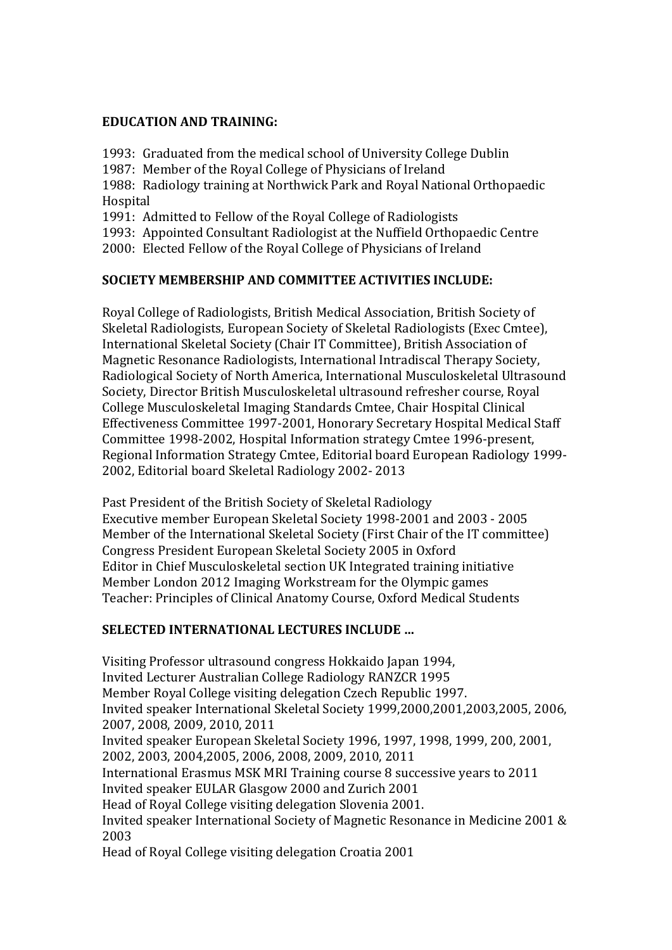### **EDUCATION AND TRAINING:**

1993: Graduated from the medical school of University College Dublin

1987: Member of the Royal College of Physicians of Ireland

1988: Radiology training at Northwick Park and Royal National Orthopaedic Hospital 

1991: Admitted to Fellow of the Royal College of Radiologists

1993: Appointed Consultant Radiologist at the Nuffield Orthopaedic Centre

2000: Elected Fellow of the Royal College of Physicians of Ireland

## **SOCIETY MEMBERSHIP AND COMMITTEE ACTIVITIES INCLUDE:**

Royal College of Radiologists, British Medical Association, British Society of Skeletal Radiologists, European Society of Skeletal Radiologists (Exec Cmtee), International Skeletal Society (Chair IT Committee), British Association of Magnetic Resonance Radiologists, International Intradiscal Therapy Society, Radiological Society of North America, International Musculoskeletal Ultrasound Society, Director British Musculoskeletal ultrasound refresher course, Royal College Musculoskeletal Imaging Standards Cmtee, Chair Hospital Clinical Effectiveness Committee 1997-2001, Honorary Secretary Hospital Medical Staff Committee 1998-2002, Hospital Information strategy Cmtee 1996-present. Regional Information Strategy Cmtee, Editorial board European Radiology 1999-2002, Editorial board Skeletal Radiology 2002- 2013

Past President of the British Society of Skeletal Radiology Executive member European Skeletal Society 1998-2001 and 2003 - 2005 Member of the International Skeletal Society (First Chair of the IT committee) Congress President European Skeletal Society 2005 in Oxford Editor in Chief Musculoskeletal section UK Integrated training initiative Member London 2012 Imaging Workstream for the Olympic games Teacher: Principles of Clinical Anatomy Course, Oxford Medical Students

# **SELECTED INTERNATIONAL LECTURES INCLUDE ...**

Visiting Professor ultrasound congress Hokkaido Japan 1994, Invited Lecturer Australian College Radiology RANZCR 1995 Member Royal College visiting delegation Czech Republic 1997. Invited speaker International Skeletal Society 1999,2000,2001,2003,2005, 2006, 2007, 2008, 2009, 2010, 2011 Invited speaker European Skeletal Society 1996, 1997, 1998, 1999, 200, 2001, 2002, 2003, 2004, 2005, 2006, 2008, 2009, 2010, 2011 International Erasmus MSK MRI Training course 8 successive vears to 2011 Invited speaker EULAR Glasgow 2000 and Zurich 2001 Head of Royal College visiting delegation Slovenia 2001. Invited speaker International Society of Magnetic Resonance in Medicine 2001 & 2003 Head of Royal College visiting delegation Croatia 2001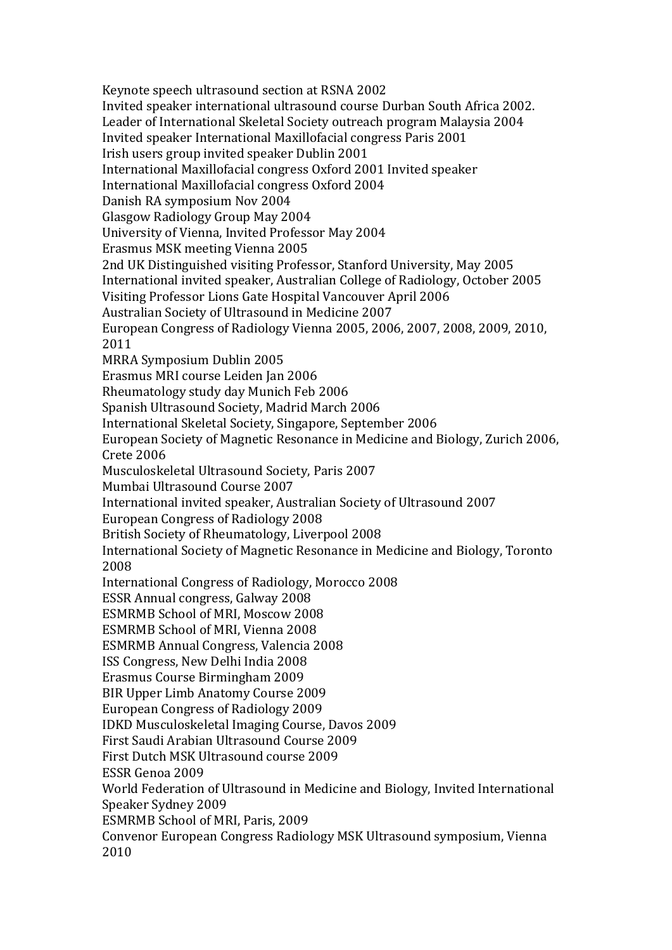Keynote speech ultrasound section at RSNA 2002 Invited speaker international ultrasound course Durban South Africa 2002. Leader of International Skeletal Society outreach program Malaysia 2004 Invited speaker International Maxillofacial congress Paris 2001 Irish users group invited speaker Dublin 2001 International Maxillofacial congress Oxford 2001 Invited speaker International Maxillofacial congress Oxford 2004 Danish RA symposium Nov 2004 Glasgow Radiology Group May 2004 University of Vienna, Invited Professor May 2004 Erasmus MSK meeting Vienna 2005 2nd UK Distinguished visiting Professor, Stanford University, May 2005 International invited speaker, Australian College of Radiology, October 2005 Visiting Professor Lions Gate Hospital Vancouver April 2006 Australian Society of Ultrasound in Medicine 2007 European Congress of Radiology Vienna 2005, 2006, 2007, 2008, 2009, 2010, 2011 MRRA Symposium Dublin 2005 Erasmus MRI course Leiden Jan 2006 Rheumatology study day Munich Feb 2006 Spanish Ultrasound Society, Madrid March 2006 International Skeletal Society, Singapore, September 2006 European Society of Magnetic Resonance in Medicine and Biology, Zurich 2006, Crete 2006 Musculoskeletal Ultrasound Society, Paris 2007 Mumbai Ultrasound Course 2007 International invited speaker, Australian Society of Ultrasound 2007 European Congress of Radiology 2008 British Society of Rheumatology, Liverpool 2008 International Society of Magnetic Resonance in Medicine and Biology, Toronto 2008 International Congress of Radiology, Morocco 2008 ESSR Annual congress, Galway 2008 ESMRMB School of MRI. Moscow 2008 ESMRMB School of MRI, Vienna 2008 ESMRMB Annual Congress, Valencia 2008 ISS Congress, New Delhi India 2008 Erasmus Course Birmingham 2009 BIR Upper Limb Anatomy Course 2009 European Congress of Radiology 2009 IDKD Musculoskeletal Imaging Course, Davos 2009 First Saudi Arabian Ultrasound Course 2009 First Dutch MSK Ultrasound course 2009 ESSR Genoa 2009 World Federation of Ultrasound in Medicine and Biology, Invited International Speaker Sydney 2009 ESMRMB School of MRI, Paris, 2009 Convenor European Congress Radiology MSK Ultrasound symposium, Vienna 2010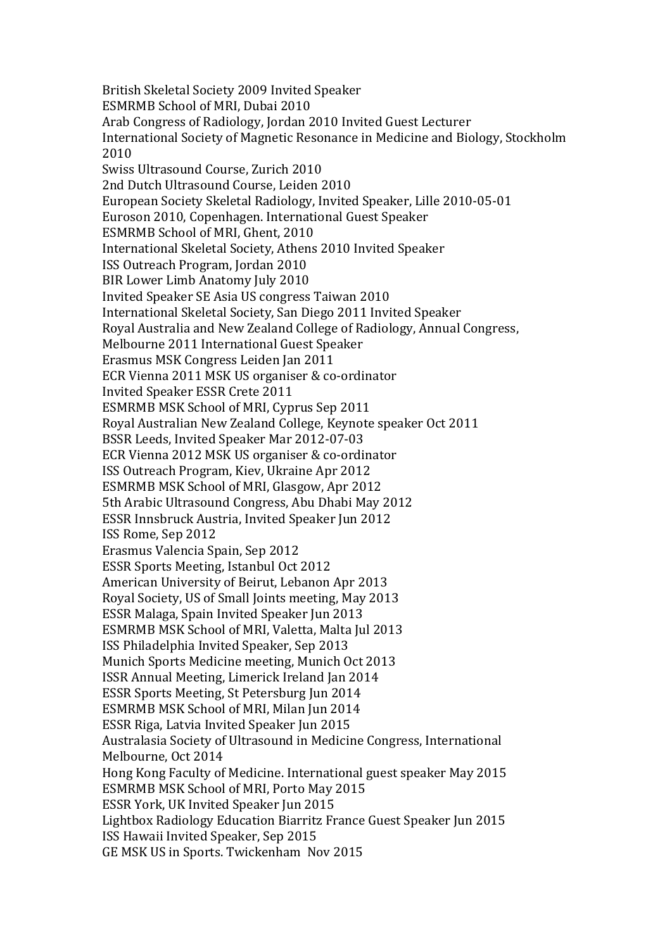British Skeletal Society 2009 Invited Speaker ESMRMB School of MRI, Dubai 2010 Arab Congress of Radiology, Jordan 2010 Invited Guest Lecturer International Society of Magnetic Resonance in Medicine and Biology, Stockholm 2010 Swiss Ultrasound Course, Zurich 2010 2nd Dutch Ultrasound Course, Leiden 2010 European Society Skeletal Radiology, Invited Speaker, Lille 2010-05-01 Euroson 2010, Copenhagen. International Guest Speaker ESMRMB School of MRI, Ghent, 2010 International Skeletal Society, Athens 2010 Invited Speaker ISS Outreach Program, Jordan 2010 BIR Lower Limb Anatomy July 2010 Invited Speaker SE Asia US congress Taiwan 2010 International Skeletal Society, San Diego 2011 Invited Speaker Royal Australia and New Zealand College of Radiology, Annual Congress, Melbourne 2011 International Guest Speaker Erasmus MSK Congress Leiden Jan 2011 ECR Vienna 2011 MSK US organiser & co-ordinator Invited Speaker ESSR Crete 2011 ESMRMB MSK School of MRI, Cyprus Sep 2011 Royal Australian New Zealand College, Keynote speaker Oct 2011 BSSR Leeds, Invited Speaker Mar 2012-07-03 ECR Vienna 2012 MSK US organiser & co-ordinator ISS Outreach Program, Kiev, Ukraine Apr 2012 ESMRMB MSK School of MRI, Glasgow, Apr 2012 5th Arabic Ultrasound Congress, Abu Dhabi May 2012 ESSR Innsbruck Austria, Invited Speaker Jun 2012 ISS Rome, Sep 2012 Erasmus Valencia Spain, Sep 2012 ESSR Sports Meeting, Istanbul Oct 2012 American University of Beirut, Lebanon Apr 2013 Royal Society, US of Small Joints meeting, May 2013 ESSR Malaga, Spain Invited Speaker Jun 2013 ESMRMB MSK School of MRI, Valetta, Malta Jul 2013 ISS Philadelphia Invited Speaker, Sep 2013 Munich Sports Medicine meeting, Munich Oct 2013 ISSR Annual Meeting, Limerick Ireland Jan 2014 ESSR Sports Meeting, St Petersburg Jun 2014 ESMRMB MSK School of MRI, Milan Jun 2014 ESSR Riga, Latvia Invited Speaker Jun 2015 Australasia Society of Ultrasound in Medicine Congress, International Melbourne, Oct 2014 Hong Kong Faculty of Medicine. International guest speaker May 2015 ESMRMB MSK School of MRI, Porto May 2015 ESSR York, UK Invited Speaker Jun 2015 Lightbox Radiology Education Biarritz France Guest Speaker Jun 2015 ISS Hawaii Invited Speaker, Sep 2015 GE MSK US in Sports. Twickenham Nov 2015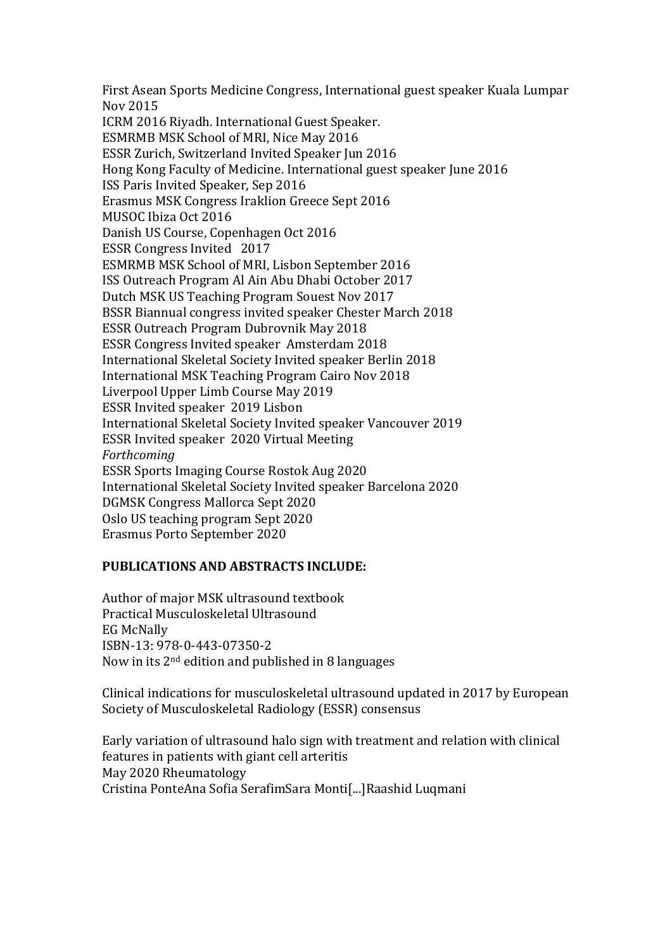First Asean Sports Medicine Congress, International guest speaker Kuala Lumpar Nov 2015 ICRM 2016 Riyadh. International Guest Speaker. ESMRMB MSK School of MRI, Nice May 2016 ESSR Zurich, Switzerland Invited Speaker Jun 2016 Hong Kong Faculty of Medicine. International guest speaker June 2016 ISS Paris Invited Speaker, Sep 2016 Erasmus MSK Congress Iraklion Greece Sept 2016 MUSOC Ibiza Oct 2016 Danish US Course, Copenhagen Oct 2016 ESSR Congress Invited 2017 ESMRMB MSK School of MRI, Lisbon September 2016 ISS Outreach Program Al Ain Abu Dhabi October 2017 Dutch MSK US Teaching Program Souest Nov 2017 BSSR Biannual congress invited speaker Chester March 2018 ESSR Outreach Program Dubrovnik May 2018 ESSR Congress Invited speaker Amsterdam 2018 International Skeletal Society Invited speaker Berlin 2018 International MSK Teaching Program Cairo Nov 2018 Liverpool Upper Limb Course May 2019 ESSR Invited speaker 2019 Lisbon International Skeletal Society Invited speaker Vancouver 2019 ESSR Invited speaker 2020 Virtual Meeting *Forthcoming* ESSR Sports Imaging Course Rostok Aug 2020 International Skeletal Society Invited speaker Barcelona 2020 DGMSK Congress Mallorca Sept 2020 Oslo US teaching program Sept 2020 Erasmus Porto September 2020

#### **PUBLICATIONS AND ABSTRACTS INCLUDE:**

Author of major MSK ultrasound textbook Practical Musculoskeletal Ultrasound EG McNally ISBN-13: 978-0-443-07350-2 Now in its  $2<sup>nd</sup>$  edition and published in 8 languages

Clinical indications for musculoskeletal ultrasound updated in 2017 by European Society of Musculoskeletal Radiology (ESSR) consensus

Early variation of ultrasound halo sign with treatment and relation with clinical features in patients with giant cell arteritis May 2020 Rheumatology Cristina PonteAna Sofia SerafimSara Monti[...]Raashid Luqmani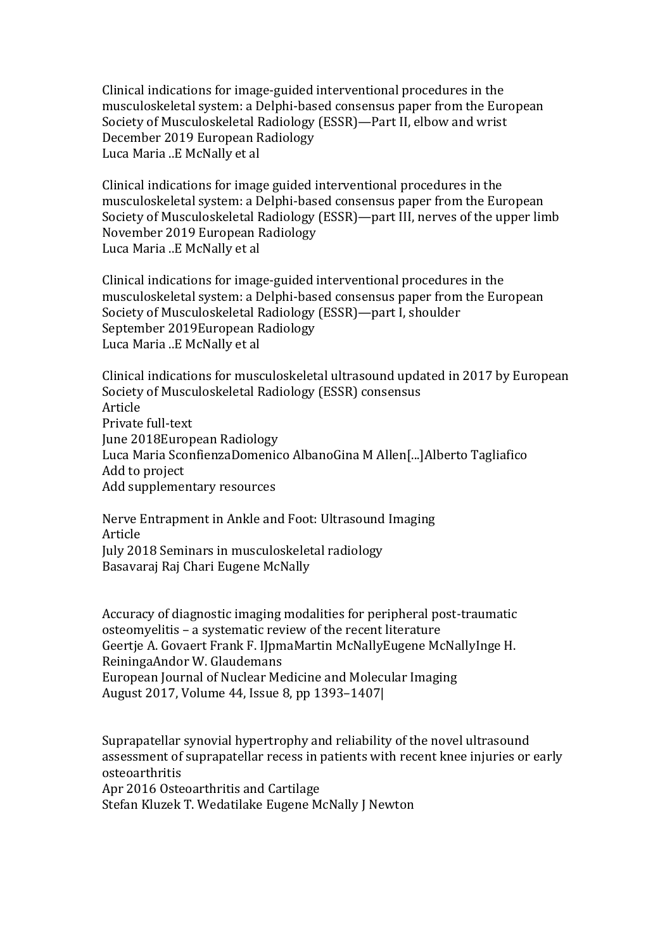Clinical indications for image-guided interventional procedures in the musculoskeletal system: a Delphi-based consensus paper from the European Society of Musculoskeletal Radiology (ESSR)—Part II, elbow and wrist December 2019 European Radiology Luca Maria ..E McNally et al

Clinical indications for image guided interventional procedures in the musculoskeletal system: a Delphi-based consensus paper from the European Society of Musculoskeletal Radiology (ESSR)—part III, nerves of the upper limb November 2019 European Radiology Luca Maria ..E McNally et al

Clinical indications for image-guided interventional procedures in the musculoskeletal system: a Delphi-based consensus paper from the European Society of Musculoskeletal Radiology (ESSR)—part I, shoulder September 2019European Radiology Luca Maria ..E McNally et al

Clinical indications for musculoskeletal ultrasound updated in 2017 by European Society of Musculoskeletal Radiology (ESSR) consensus Article Private full-text June 2018European Radiology Luca Maria SconfienzaDomenico AlbanoGina M Allen[...]Alberto Tagliafico Add to project Add supplementary resources

Nerve Entrapment in Ankle and Foot: Ultrasound Imaging Article July 2018 Seminars in musculoskeletal radiology Basavaraj Raj Chari Eugene McNally

Accuracy of diagnostic imaging modalities for peripheral post-traumatic osteomyelitis - a systematic review of the recent literature Geertje A. Govaert Frank F. IJpmaMartin McNallyEugene McNallyInge H. ReiningaAndor W. Glaudemans European Journal of Nuclear Medicine and Molecular Imaging August 2017, Volume 44, Issue 8, pp 1393-1407|

Suprapatellar synovial hypertrophy and reliability of the novel ultrasound assessment of suprapatellar recess in patients with recent knee injuries or early osteoarthritis Apr 2016 Osteoarthritis and Cartilage Stefan Kluzek T. Wedatilake Eugene McNally J Newton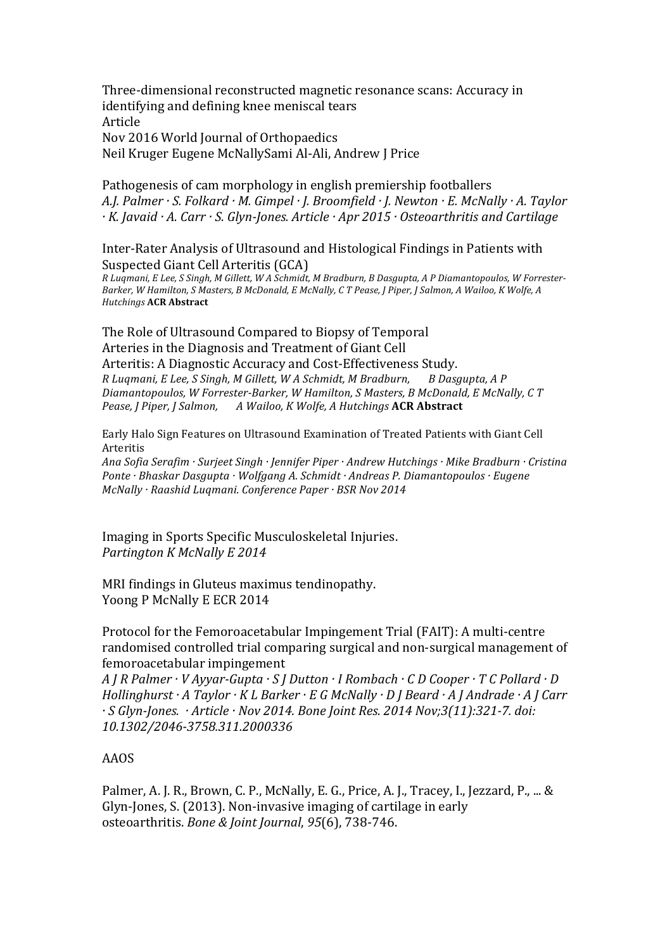Three-dimensional reconstructed magnetic resonance scans: Accuracy in identifying and defining knee meniscal tears Article Nov 2016 World Journal of Orthopaedics Neil Kruger Eugene McNallySami Al-Ali, Andrew J Price

Pathogenesis of cam morphology in english premiership footballers *A.J. Palmer* · S. Folkard · M. Gimpel · J. Broomfield · J. Newton · E. McNally · A. Taylor *·* K. Javaid · A. Carr · S. Glyn-Jones. Article · Apr 2015 · Osteoarthritis and Cartilage

Inter-Rater Analysis of Ultrasound and Histological Findings in Patients with Suspected Giant Cell Arteritis (GCA)

R Luqmani, E Lee, S Singh, M Gillett, W A Schmidt, M Bradburn, B Dasgupta, A P Diamantopoulos, W Forrester-Barker, W Hamilton, S Masters, B McDonald, E McNally, C T Pease, J Piper, J Salmon, A Wailoo, K Wolfe, A *Hutchings* **ACR Abstract** 

The Role of Ultrasound Compared to Biopsy of Temporal Arteries in the Diagnosis and Treatment of Giant Cell Arteritis: A Diagnostic Accuracy and Cost-Effectiveness Study. *R Luqmani, E Lee, S Singh, M Gillett, W A Schmidt, M Bradburn, B Dasgupta, A P Diamantopoulos, W Forrester-Barker, W Hamilton, S Masters, B McDonald, E McNally, C T Pease, J Piper, J Salmon, A Wailoo, K Wolfe, A Hutchings ACR Abstract* 

Early Halo Sign Features on Ultrasound Examination of Treated Patients with Giant Cell Arteritis

Ana Sofia Serafim · Surjeet Singh · Jennifer Piper · Andrew Hutchings · Mike Bradburn · Cristina *Ponte* · Bhaskar Dasgupta · Wolfgang A. Schmidt · Andreas P. Diamantopoulos · Eugene *McNally* · Raashid Luqmani. *Conference Paper* · *BSR Nov 2014* 

Imaging in Sports Specific Musculoskeletal Injuries. *Partington K McNally E 2014*

MRI findings in Gluteus maximus tendinopathy. Yoong P McNally E ECR 2014

Protocol for the Femoroacetabular Impingement Trial (FAIT): A multi-centre randomised controlled trial comparing surgical and non-surgical management of femoroacetabular impingement

*A J R Palmer · V Ayyar-Gupta · S J Dutton · I Rombach · C D Cooper · T C Pollard · D Hollinghurst* · A Taylor · K L Barker · E G McNally · D J Beard · A J Andrade · A J Carr *· S Glyn-Jones. · Article · Nov 2014. Bone Joint Res. 2014 Nov;3(11):321-7. doi: 10.1302/2046-3758.311.2000336*

### AAOS

Palmer, A. J. R., Brown, C. P., McNally, E. G., Price, A. J., Tracey, I., Jezzard, P., ... & Glyn-Jones, S. (2013). Non-invasive imaging of cartilage in early osteoarthritis. *Bone & Joint Journal*, *95*(6), 738-746.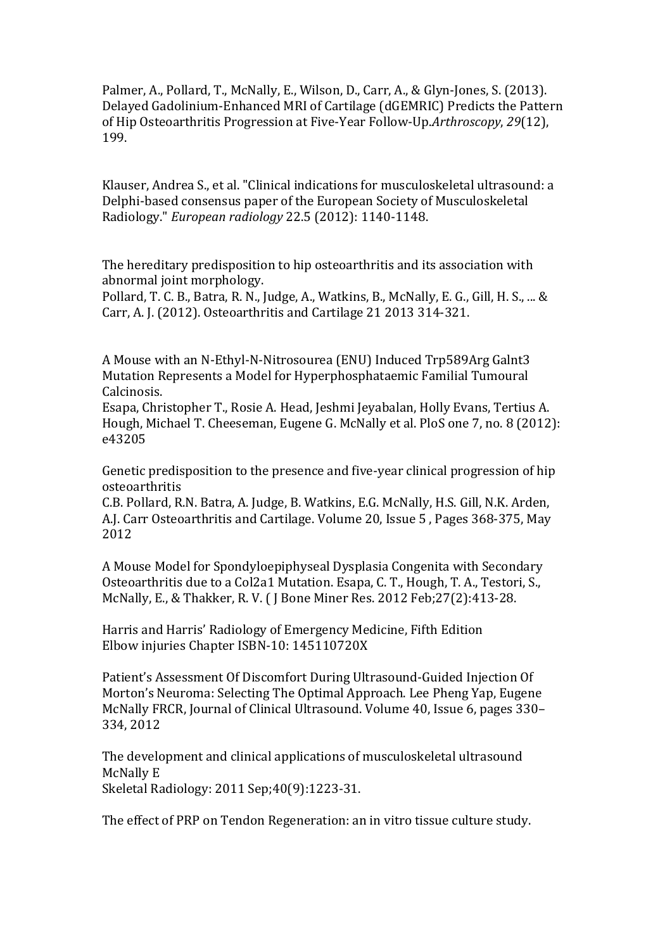Palmer, A., Pollard, T., McNally, E., Wilson, D., Carr, A., & Glyn-Jones, S. (2013). Delayed Gadolinium-Enhanced MRI of Cartilage (dGEMRIC) Predicts the Pattern of Hip Osteoarthritis Progression at Five-Year Follow-Up.Arthroscopy, 29(12), 199.

Klauser, Andrea S., et al. "Clinical indications for musculoskeletal ultrasound: a Delphi-based consensus paper of the European Society of Musculoskeletal Radiology." *European radiology* 22.5 (2012): 1140-1148.

The hereditary predisposition to hip osteoarthritis and its association with abnormal joint morphology.

Pollard, T. C. B., Batra, R. N., Judge, A., Watkins, B., McNally, E. G., Gill, H. S., ... & Carr, A. J. (2012). Osteoarthritis and Cartilage 21 2013 314-321.

A Mouse with an N-Ethyl-N-Nitrosourea (ENU) Induced Trp589Arg Galnt3 Mutation Represents a Model for Hyperphosphataemic Familial Tumoural Calcinosis.

Esapa, Christopher T., Rosie A. Head, Jeshmi Jeyabalan, Holly Evans, Tertius A. Hough, Michael T. Cheeseman, Eugene G. McNally et al. PloS one 7, no. 8 (2012): e43205

Genetic predisposition to the presence and five-year clinical progression of hip osteoarthritis

C.B. Pollard, R.N. Batra, A. Judge, B. Watkins, E.G. McNally, H.S. Gill, N.K. Arden, A.J. Carr Osteoarthritis and Cartilage. Volume 20, Issue 5, Pages 368-375, May 2012

A Mouse Model for Spondyloepiphyseal Dysplasia Congenita with Secondary Osteoarthritis due to a Col2a1 Mutation. Esapa, C. T., Hough, T. A., Testori, S., McNally, E., & Thakker, R. V. ( J Bone Miner Res. 2012 Feb; 27(2): 413-28.

Harris and Harris' Radiology of Emergency Medicine, Fifth Edition Elbow injuries Chapter ISBN-10: 145110720X

Patient's Assessment Of Discomfort During Ultrasound-Guided Injection Of Morton's Neuroma: Selecting The Optimal Approach. Lee Pheng Yap, Eugene McNally FRCR, Journal of Clinical Ultrasound. Volume 40, Issue 6, pages 330– 334, 2012

The development and clinical applications of musculoskeletal ultrasound McNally E Skeletal Radiology: 2011 Sep: 40(9): 1223-31.

The effect of PRP on Tendon Regeneration: an in vitro tissue culture study.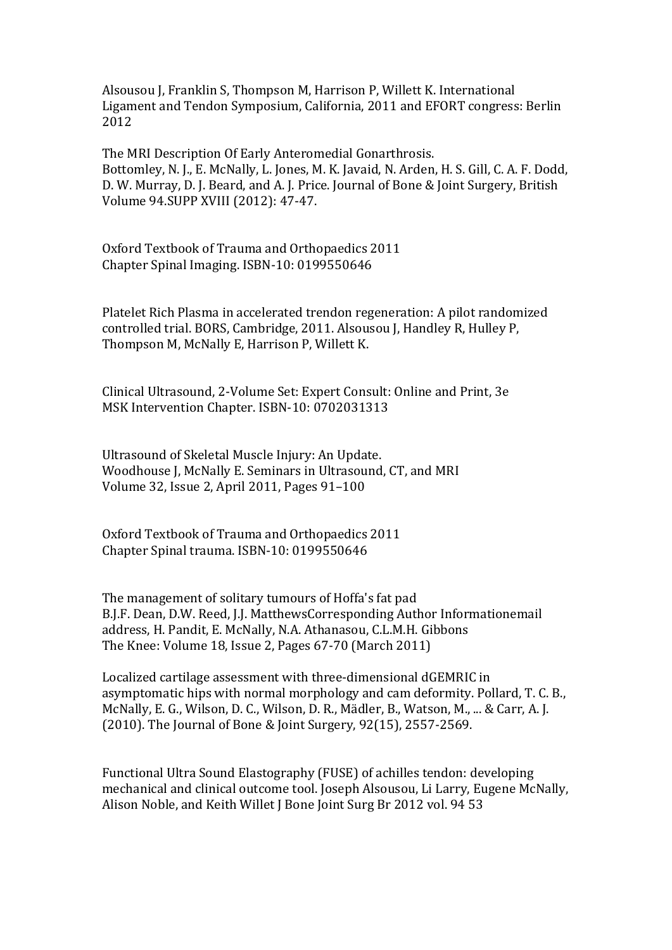Alsousou J, Franklin S, Thompson M, Harrison P, Willett K. International Ligament and Tendon Symposium, California, 2011 and EFORT congress: Berlin 2012

The MRI Description Of Early Anteromedial Gonarthrosis. Bottomley, N. J., E. McNally, L. Jones, M. K. Javaid, N. Arden, H. S. Gill, C. A. F. Dodd, D. W. Murray, D. J. Beard, and A. J. Price. Journal of Bone & Joint Surgery, British Volume 94.SUPP XVIII (2012): 47-47.

Oxford Textbook of Trauma and Orthopaedics 2011 Chapter Spinal Imaging. ISBN-10: 0199550646

Platelet Rich Plasma in accelerated trendon regeneration: A pilot randomized controlled trial. BORS, Cambridge, 2011. Alsousou J, Handley R, Hulley P, Thompson M, McNally E, Harrison P, Willett K.

Clinical Ultrasound, 2-Volume Set: Expert Consult: Online and Print, 3e MSK Intervention Chapter. ISBN-10: 0702031313

Ultrasound of Skeletal Muscle Injury: An Update. Woodhouse J, McNally E. Seminars in Ultrasound, CT, and MRI Volume 32, Issue 2, April 2011, Pages 91-100

Oxford Textbook of Trauma and Orthopaedics 2011 Chapter Spinal trauma. ISBN-10: 0199550646

The management of solitary tumours of Hoffa's fat pad B.J.F. Dean, D.W. Reed, J.J. MatthewsCorresponding Author Informationemail address, H. Pandit, E. McNally, N.A. Athanasou, C.L.M.H. Gibbons The Knee: Volume 18, Issue 2, Pages  $67-70$  (March 2011)

Localized cartilage assessment with three-dimensional dGEMRIC in asymptomatic hips with normal morphology and cam deformity. Pollard, T. C. B., McNally, E. G., Wilson, D. C., Wilson, D. R., Mädler, B., Watson, M., ... & Carr, A. J.  $(2010)$ . The Journal of Bone & Joint Surgery, 92(15), 2557-2569.

Functional Ultra Sound Elastography (FUSE) of achilles tendon: developing mechanical and clinical outcome tool. Joseph Alsousou, Li Larry, Eugene McNally, Alison Noble, and Keith Willet J Bone Joint Surg Br 2012 vol. 94 53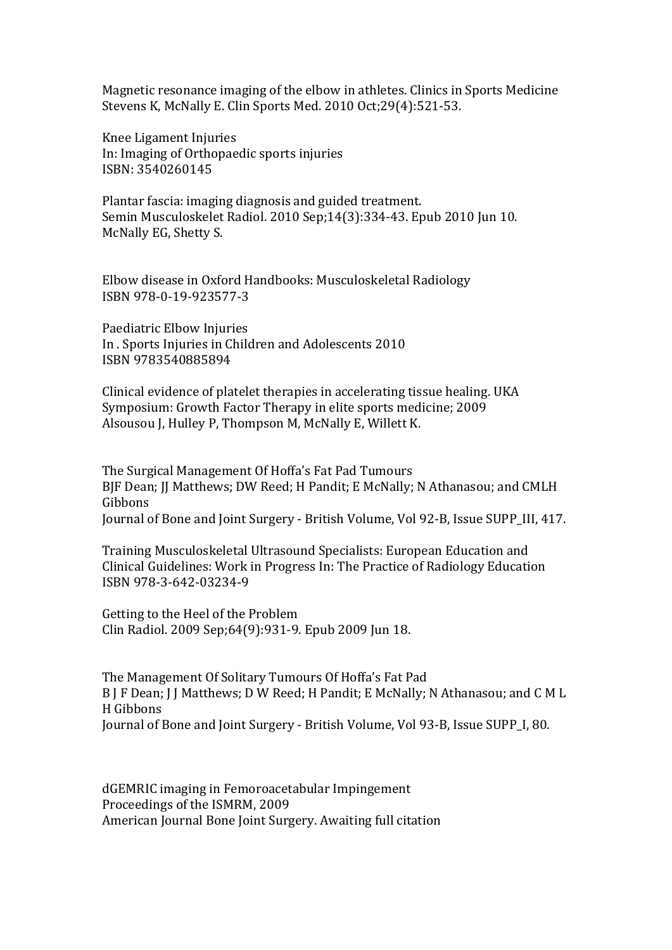Magnetic resonance imaging of the elbow in athletes. Clinics in Sports Medicine Stevens K, McNally E. Clin Sports Med. 2010 Oct;29(4):521-53.

Knee Ligament Injuries In: Imaging of Orthopaedic sports injuries ISBN: 3540260145

Plantar fascia: imaging diagnosis and guided treatment. Semin Musculoskelet Radiol. 2010 Sep;14(3):334-43. Epub 2010 Jun 10. McNally EG, Shetty S.

Elbow disease in Oxford Handbooks: Musculoskeletal Radiology ISBN 978-0-19-923577-3

Paediatric Elbow Injuries In . Sports Injuries in Children and Adolescents 2010 ISBN 9783540885894

Clinical evidence of platelet therapies in accelerating tissue healing. UKA Symposium: Growth Factor Therapy in elite sports medicine; 2009 Alsousou J, Hulley P, Thompson M, McNally E, Willett K.

The Surgical Management Of Hoffa's Fat Pad Tumours BJF Dean; JJ Matthews; DW Reed; H Pandit; E McNally; N Athanasou; and CMLH Gibbons Journal of Bone and Joint Surgery - British Volume, Vol 92-B, Issue SUPP III, 417.

Training Musculoskeletal Ultrasound Specialists: European Education and Clinical Guidelines: Work in Progress In: The Practice of Radiology Education ISBN 978-3-642-03234-9

Getting to the Heel of the Problem Clin Radiol. 2009 Sep;64(9):931-9. Epub 2009 Jun 18.

The Management Of Solitary Tumours Of Hoffa's Fat Pad B J F Dean; J J Matthews; D W Reed; H Pandit; E McNally; N Athanasou; and C M L H Gibbons Journal of Bone and Joint Surgery - British Volume, Vol 93-B, Issue SUPP I, 80.

dGEMRIC imaging in Femoroacetabular Impingement Proceedings of the ISMRM, 2009 American Journal Bone Joint Surgery. Awaiting full citation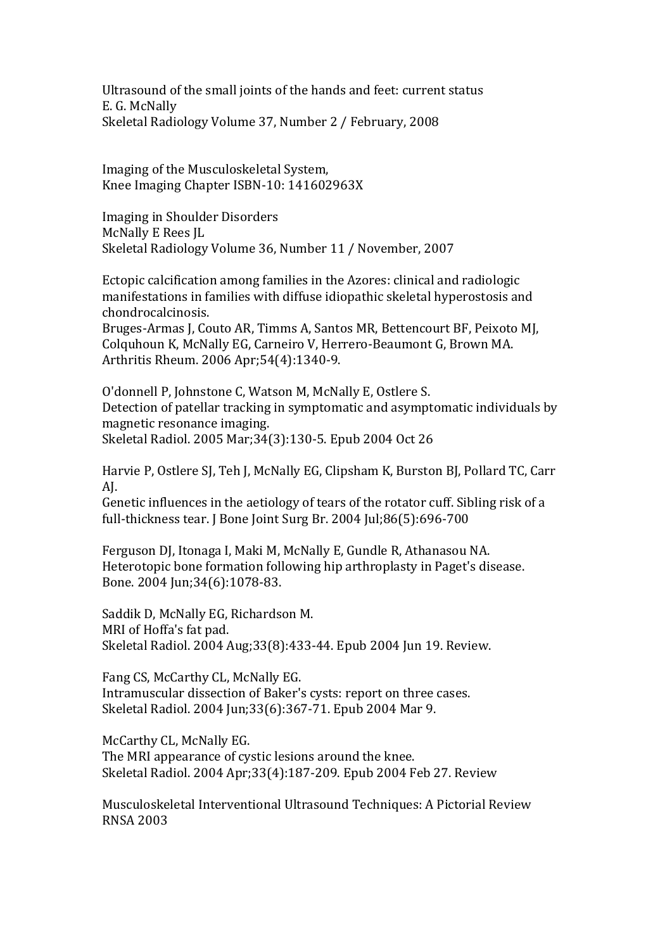Ultrasound of the small joints of the hands and feet: current status E. G. McNally Skeletal Radiology Volume 37, Number 2 / February, 2008

Imaging of the Musculoskeletal System, Knee Imaging Chapter ISBN-10: 141602963X

Imaging in Shoulder Disorders McNally E Rees JL Skeletal Radiology Volume 36, Number 11 / November, 2007

Ectopic calcification among families in the Azores: clinical and radiologic manifestations in families with diffuse idiopathic skeletal hyperostosis and chondrocalcinosis.

Bruges-Armas J, Couto AR, Timms A, Santos MR, Bettencourt BF, Peixoto MJ, Colquhoun K, McNally EG, Carneiro V, Herrero-Beaumont G, Brown MA. Arthritis Rheum. 2006 Apr: 54(4): 1340-9.

O'donnell P, Johnstone C, Watson M, McNally E, Ostlere S. Detection of patellar tracking in symptomatic and asymptomatic individuals by magnetic resonance imaging. Skeletal Radiol. 2005 Mar;34(3):130-5. Epub 2004 Oct 26

Harvie P, Ostlere SJ, Teh J, McNally EG, Clipsham K, Burston BJ, Pollard TC, Carr AJ. 

Genetic influences in the aetiology of tears of the rotator cuff. Sibling risk of a full-thickness tear.  $J$  Bone Joint Surg Br. 2004  $\text{[ul;86(5):696-700]}$ 

Ferguson DJ, Itonaga I, Maki M, McNally E, Gundle R, Athanasou NA. Heterotopic bone formation following hip arthroplasty in Paget's disease. Bone. 2004 Jun;34(6):1078-83.

Saddik D, McNally EG, Richardson M. MRI of Hoffa's fat pad. Skeletal Radiol. 2004 Aug; 33(8): 433-44. Epub 2004 Jun 19. Review.

Fang CS, McCarthy CL, McNally EG. Intramuscular dissection of Baker's cysts: report on three cases. Skeletal Radiol. 2004 Jun;33(6):367-71. Epub 2004 Mar 9.

McCarthy CL, McNally EG. The MRI appearance of cystic lesions around the knee. Skeletal Radiol. 2004 Apr;33(4):187-209. Epub 2004 Feb 27. Review

Musculoskeletal Interventional Ultrasound Techniques: A Pictorial Review RNSA 2003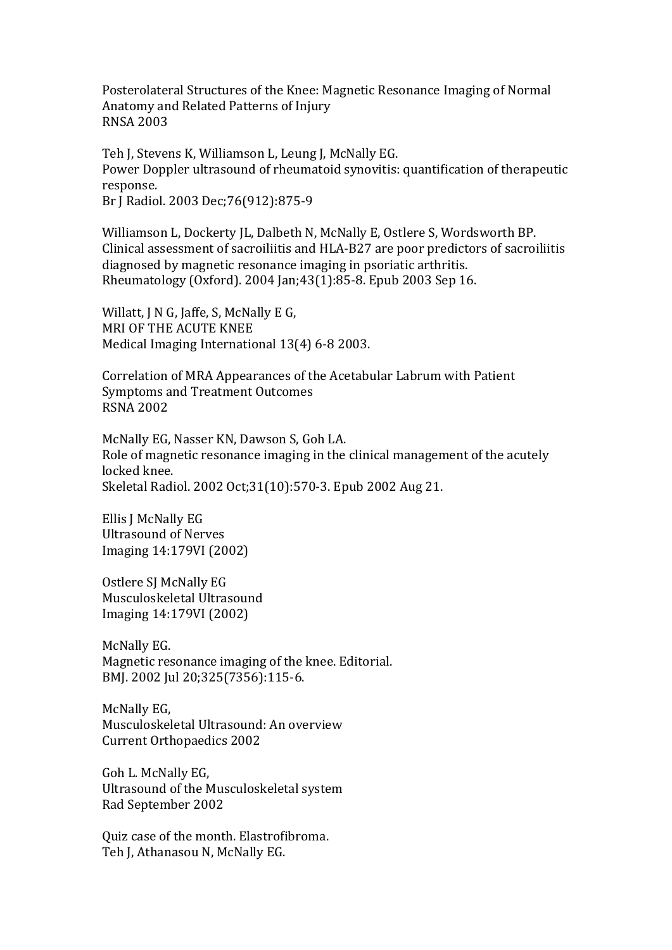Posterolateral Structures of the Knee: Magnetic Resonance Imaging of Normal Anatomy and Related Patterns of Injury RNSA 2003

Teh J, Stevens K, Williamson L, Leung J, McNally EG. Power Doppler ultrasound of rheumatoid synovitis: quantification of therapeutic response. Br J Radiol. 2003 Dec; 76(912): 875-9

Williamson L, Dockerty JL, Dalbeth N, McNally E, Ostlere S, Wordsworth BP. Clinical assessment of sacroiliitis and HLA-B27 are poor predictors of sacroiliitis diagnosed by magnetic resonance imaging in psoriatic arthritis. Rheumatology (Oxford). 2004 Jan;43(1):85-8. Epub 2003 Sep 16.

Willatt,  $J \nN G$ , Jaffe, S, McNally E G, MRI OF THE ACUTE KNEE Medical Imaging International 13(4) 6-8 2003.

Correlation of MRA Appearances of the Acetabular Labrum with Patient Symptoms and Treatment Outcomes RSNA 2002

McNally EG, Nasser KN, Dawson S, Goh LA. Role of magnetic resonance imaging in the clinical management of the acutely locked knee. Skeletal Radiol. 2002 Oct;31(10):570-3. Epub 2002 Aug 21.

Ellis I McNally EG Ultrasound of Nerves Imaging 14:179VI (2002)

Ostlere SI McNally EG Musculoskeletal Ultrasound Imaging 14:179VI (2002)

McNally EG. Magnetic resonance imaging of the knee. Editorial. BMJ. 2002 Jul 20:325(7356):115-6.

McNally EG, Musculoskeletal Ultrasound: An overview Current Orthopaedics 2002

Goh L. McNally EG, Ultrasound of the Musculoskeletal system Rad September 2002

Quiz case of the month. Elastrofibroma. Teh J, Athanasou N, McNally EG.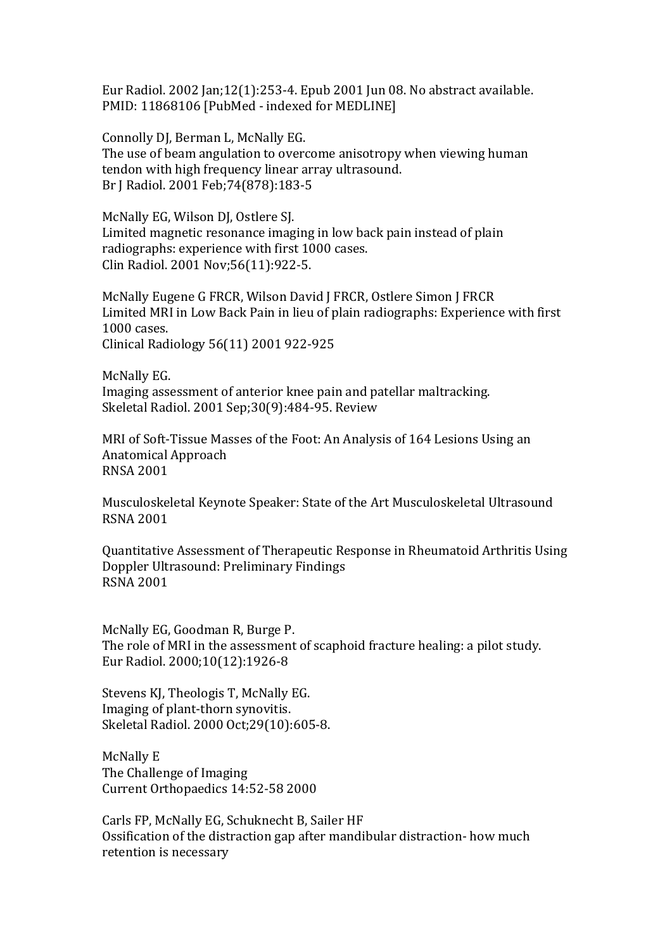Eur Radiol. 2002 Jan;12(1):253-4. Epub 2001 Jun 08. No abstract available. PMID: 11868106 [PubMed - indexed for MEDLINE]

Connolly DJ, Berman L, McNally EG. The use of beam angulation to overcome anisotropy when viewing human tendon with high frequency linear array ultrasound. Br J Radiol. 2001 Feb; 74(878): 183-5

McNally EG, Wilson DJ, Ostlere SJ. Limited magnetic resonance imaging in low back pain instead of plain radiographs: experience with first 1000 cases. Clin Radiol. 2001 Nov;56(11):922-5.

McNally Eugene G FRCR, Wilson David J FRCR, Ostlere Simon J FRCR Limited MRI in Low Back Pain in lieu of plain radiographs: Experience with first 1000 cases. Clinical Radiology 56(11) 2001 922-925

McNally EG. Imaging assessment of anterior knee pain and patellar maltracking. Skeletal Radiol. 2001 Sep;30(9):484-95. Review

MRI of Soft-Tissue Masses of the Foot: An Analysis of 164 Lesions Using an Anatomical Approach RNSA 2001

Musculoskeletal Keynote Speaker: State of the Art Musculoskeletal Ultrasound RSNA 2001

Quantitative Assessment of Therapeutic Response in Rheumatoid Arthritis Using Doppler Ultrasound: Preliminary Findings RSNA 2001

McNally EG, Goodman R, Burge P. The role of MRI in the assessment of scaphoid fracture healing: a pilot study. Eur Radiol. 2000;10(12):1926-8

Stevens KJ, Theologis T, McNally EG. Imaging of plant-thorn synovitis. Skeletal Radiol. 2000 Oct;29(10):605-8.

McNally E The Challenge of Imaging Current Orthopaedics 14:52-58 2000

Carls FP, McNally EG, Schuknecht B, Sailer HF Ossification of the distraction gap after mandibular distraction- how much retention is necessary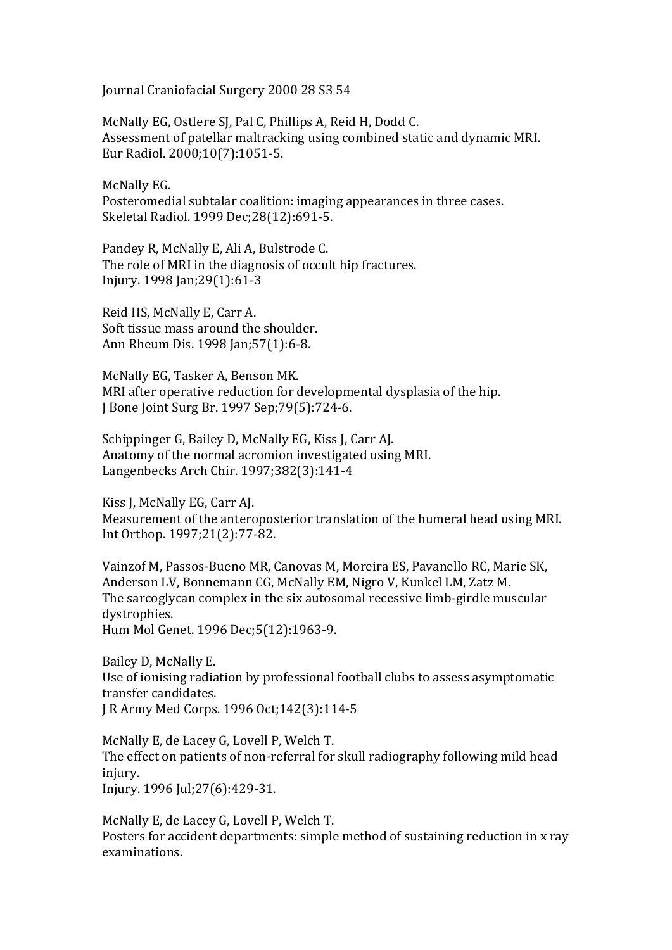Journal Craniofacial Surgery 2000 28 S3 54

McNally EG, Ostlere SJ, Pal C, Phillips A, Reid H, Dodd C. Assessment of patellar maltracking using combined static and dynamic MRI. Eur Radiol. 2000;10(7):1051-5.

McNally EG. Posteromedial subtalar coalition: imaging appearances in three cases. Skeletal Radiol. 1999 Dec; 28(12): 691-5.

Pandey R, McNally E, Ali A, Bulstrode C. The role of MRI in the diagnosis of occult hip fractures. Injury. 1998 Jan;29(1):61-3

Reid HS, McNally E, Carr A. Soft tissue mass around the shoulder. Ann Rheum Dis. 1998 Jan; 57(1): 6-8.

McNally EG, Tasker A, Benson MK. MRI after operative reduction for developmental dysplasia of the hip. J Bone Joint Surg Br. 1997 Sep; 79(5): 724-6.

Schippinger G. Bailey D. McNally EG. Kiss J. Carr AJ. Anatomy of the normal acromion investigated using MRI. Langenbecks Arch Chir. 1997;382(3):141-4

Kiss J, McNally EG, Carr AJ. Measurement of the anteroposterior translation of the humeral head using MRI. Int Orthop. 1997;21(2):77-82.

Vainzof M, Passos-Bueno MR, Canovas M, Moreira ES, Pavanello RC, Marie SK, Anderson LV, Bonnemann CG, McNally EM, Nigro V, Kunkel LM, Zatz M. The sarcoglycan complex in the six autosomal recessive limb-girdle muscular dystrophies.

Hum Mol Genet. 1996 Dec;5(12):1963-9.

Bailey D, McNally E. Use of ionising radiation by professional football clubs to assess asymptomatic transfer candidates. J R Army Med Corps. 1996 Oct; 142(3): 114-5

McNally E, de Lacey G, Lovell P, Welch T. The effect on patients of non-referral for skull radiography following mild head injury. Injury. 1996 Jul: 27(6): 429-31.

McNally E, de Lacey G, Lovell P, Welch T. Posters for accident departments: simple method of sustaining reduction in x ray examinations.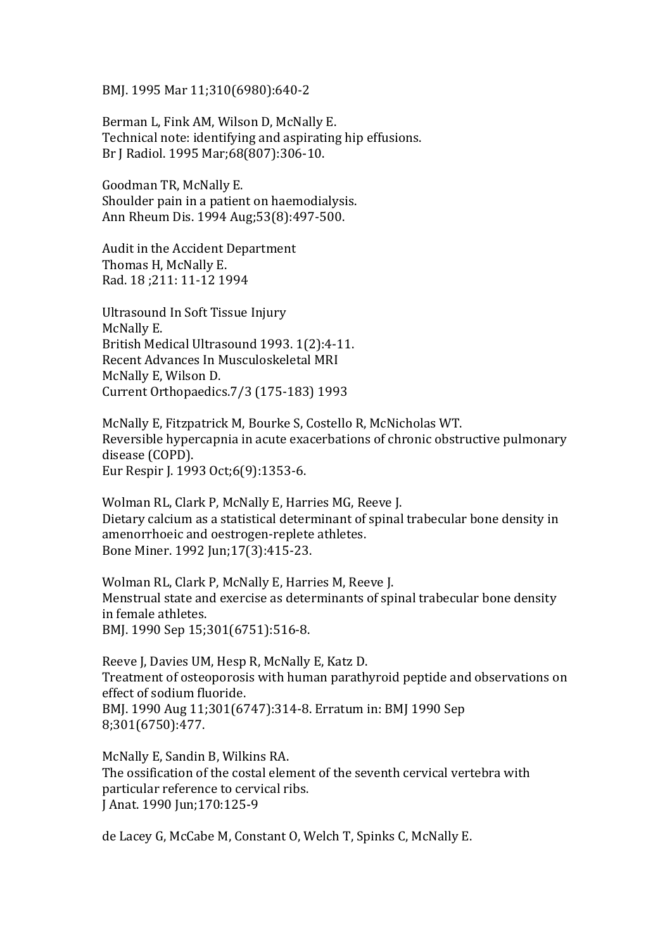BMJ. 1995 Mar 11;310(6980):640-2

Berman L, Fink AM, Wilson D, McNally E. Technical note: identifying and aspirating hip effusions. Br J Radiol. 1995 Mar; 68(807): 306-10.

Goodman TR, McNally E. Shoulder pain in a patient on haemodialysis. Ann Rheum Dis. 1994 Aug;53(8):497-500.

Audit in the Accident Department Thomas H, McNally E. Rad. 18 ;211: 11-12 1994

Ultrasound In Soft Tissue Injury McNally E. British Medical Ultrasound 1993. 1(2):4-11. Recent Advances In Musculoskeletal MRI McNally E, Wilson D. Current Orthopaedics.7/3 (175-183) 1993

McNally E, Fitzpatrick M, Bourke S, Costello R, McNicholas WT. Reversible hypercapnia in acute exacerbations of chronic obstructive pulmonary disease (COPD). Eur Respir J. 1993 Oct;6(9):1353-6.

Wolman RL, Clark P, McNally E, Harries MG, Reeve J. Dietary calcium as a statistical determinant of spinal trabecular bone density in amenorrhoeic and oestrogen-replete athletes. Bone Miner. 1992 Jun; 17(3): 415-23.

Wolman RL, Clark P, McNally E, Harries M, Reeve J. Menstrual state and exercise as determinants of spinal trabecular bone density in female athletes. BMJ. 1990 Sep 15;301(6751):516-8.

Reeve J, Davies UM, Hesp R, McNally E, Katz D. Treatment of osteoporosis with human parathyroid peptide and observations on effect of sodium fluoride. BMJ. 1990 Aug 11;301(6747):314-8. Erratum in: BMJ 1990 Sep 8;301(6750):477.

McNally E, Sandin B, Wilkins RA. The ossification of the costal element of the seventh cervical vertebra with particular reference to cervical ribs. J Anat. 1990 Jun; 170: 125-9

de Lacey G, McCabe M, Constant O, Welch T, Spinks C, McNally E.